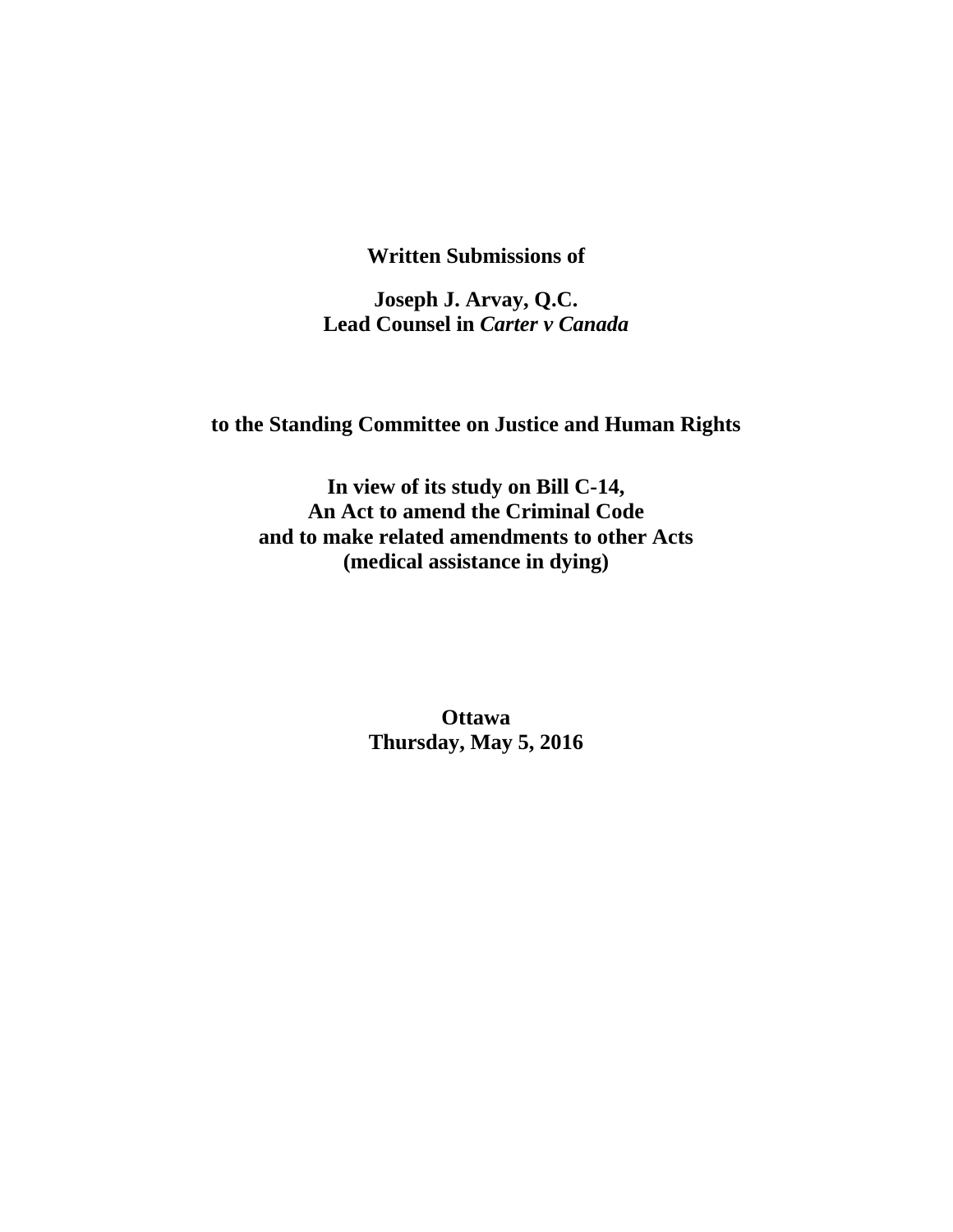**Written Submissions of** 

**Joseph J. Arvay, Q.C. Lead Counsel in** *Carter v Canada*

**to the Standing Committee on Justice and Human Rights** 

**In view of its study on Bill C-14, An Act to amend the Criminal Code and to make related amendments to other Acts (medical assistance in dying)** 

> **Ottawa Thursday, May 5, 2016**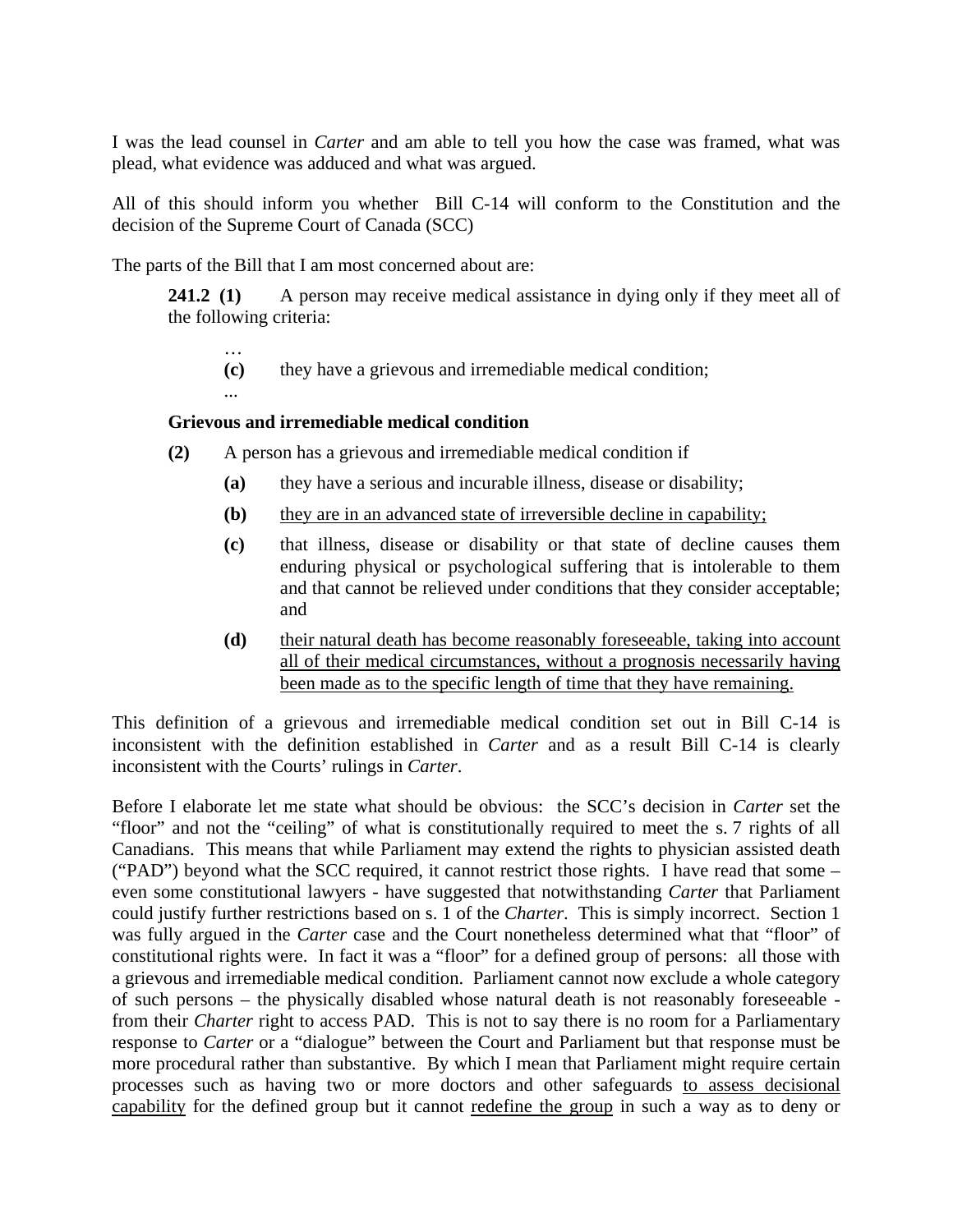I was the lead counsel in *Carter* and am able to tell you how the case was framed, what was plead, what evidence was adduced and what was argued.

All of this should inform you whether Bill C-14 will conform to the Constitution and the decision of the Supreme Court of Canada (SCC)

The parts of the Bill that I am most concerned about are:

…

**241.2** (1) A person may receive medical assistance in dying only if they meet all of the following criteria:

**(c)** they have a grievous and irremediable medical condition;

## **Grievous and irremediable medical condition**

- **(2)** A person has a grievous and irremediable medical condition if
	- **(a)** they have a serious and incurable illness, disease or disability;
	- **(b)** they are in an advanced state of irreversible decline in capability;
	- **(c)** that illness, disease or disability or that state of decline causes them enduring physical or psychological suffering that is intolerable to them and that cannot be relieved under conditions that they consider acceptable; and
	- **(d)** their natural death has become reasonably foreseeable, taking into account all of their medical circumstances, without a prognosis necessarily having been made as to the specific length of time that they have remaining.

This definition of a grievous and irremediable medical condition set out in Bill C-14 is inconsistent with the definition established in *Carter* and as a result Bill C-14 is clearly inconsistent with the Courts' rulings in *Carter*.

Before I elaborate let me state what should be obvious: the SCC's decision in *Carter* set the "floor" and not the "ceiling" of what is constitutionally required to meet the s. 7 rights of all Canadians. This means that while Parliament may extend the rights to physician assisted death ("PAD") beyond what the SCC required, it cannot restrict those rights. I have read that some – even some constitutional lawyers - have suggested that notwithstanding *Carter* that Parliament could justify further restrictions based on s. 1 of the *Charter*. This is simply incorrect. Section 1 was fully argued in the *Carter* case and the Court nonetheless determined what that "floor" of constitutional rights were. In fact it was a "floor" for a defined group of persons: all those with a grievous and irremediable medical condition. Parliament cannot now exclude a whole category of such persons – the physically disabled whose natural death is not reasonably foreseeable from their *Charter* right to access PAD. This is not to say there is no room for a Parliamentary response to *Carter* or a "dialogue" between the Court and Parliament but that response must be more procedural rather than substantive. By which I mean that Parliament might require certain processes such as having two or more doctors and other safeguards to assess decisional capability for the defined group but it cannot redefine the group in such a way as to deny or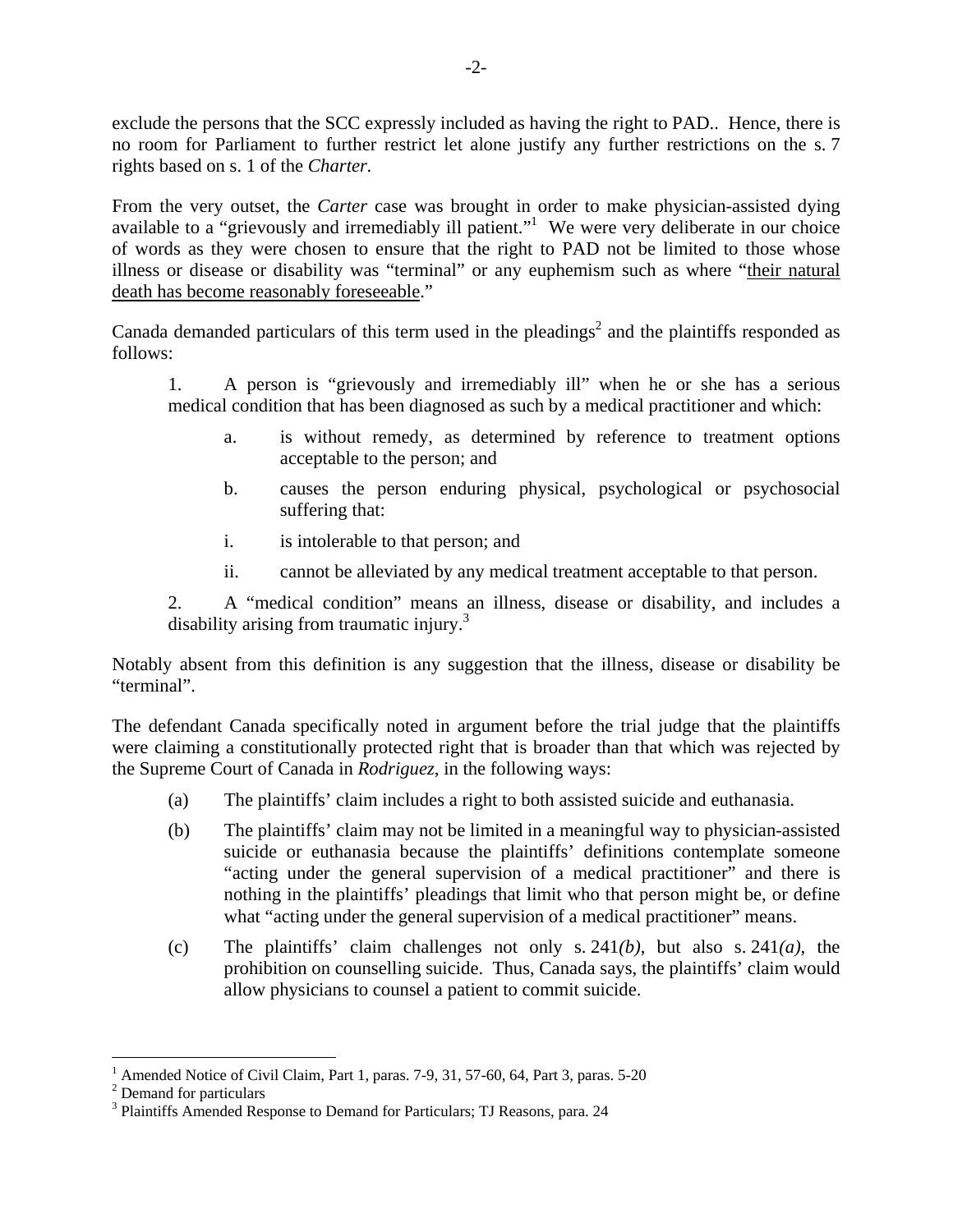exclude the persons that the SCC expressly included as having the right to PAD.. Hence, there is no room for Parliament to further restrict let alone justify any further restrictions on the s. 7 rights based on s. 1 of the *Charter.*

From the very outset, the *Carter* case was brought in order to make physician-assisted dying available to a "grievously and irremediably ill patient."<sup>1</sup> We were very deliberate in our choice of words as they were chosen to ensure that the right to PAD not be limited to those whose illness or disease or disability was "terminal" or any euphemism such as where "their natural death has become reasonably foreseeable."

Canada demanded particulars of this term used in the pleadings<sup>2</sup> and the plaintiffs responded as follows:

1. A person is "grievously and irremediably ill" when he or she has a serious medical condition that has been diagnosed as such by a medical practitioner and which:

- a. is without remedy, as determined by reference to treatment options acceptable to the person; and
- b. causes the person enduring physical, psychological or psychosocial suffering that:
- i. is intolerable to that person; and
- ii. cannot be alleviated by any medical treatment acceptable to that person.

2. A "medical condition" means an illness, disease or disability, and includes a disability arising from traumatic injury.<sup>3</sup>

Notably absent from this definition is any suggestion that the illness, disease or disability be "terminal".

The defendant Canada specifically noted in argument before the trial judge that the plaintiffs were claiming a constitutionally protected right that is broader than that which was rejected by the Supreme Court of Canada in *Rodriguez*, in the following ways:

- (a) The plaintiffs' claim includes a right to both assisted suicide and euthanasia.
- (b) The plaintiffs' claim may not be limited in a meaningful way to physician-assisted suicide or euthanasia because the plaintiffs' definitions contemplate someone "acting under the general supervision of a medical practitioner" and there is nothing in the plaintiffs' pleadings that limit who that person might be, or define what "acting under the general supervision of a medical practitioner" means.
- (c) The plaintiffs' claim challenges not only s. 241*(b)*, but also s. 241*(a)*, the prohibition on counselling suicide. Thus, Canada says, the plaintiffs' claim would allow physicians to counsel a patient to commit suicide.

<sup>&</sup>lt;sup>1</sup> Amended Notice of Civil Claim, Part 1, paras. 7-9, 31, 57-60, 64, Part 3, paras. 5-20

<sup>&</sup>lt;sup>2</sup> Demand for particulars

<sup>&</sup>lt;sup>3</sup> Plaintiffs Amended Response to Demand for Particulars; TJ Reasons, para. 24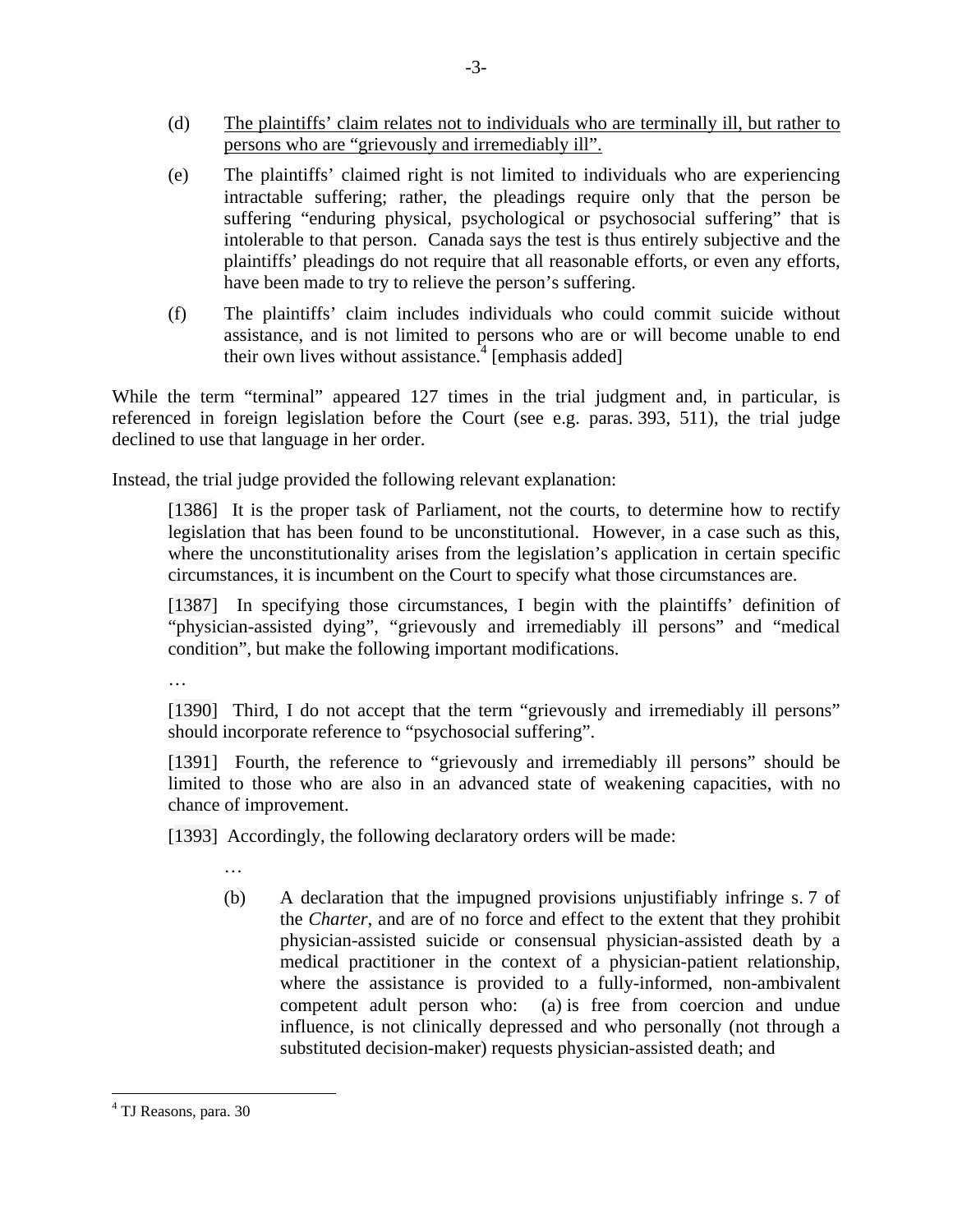- (d) The plaintiffs' claim relates not to individuals who are terminally ill, but rather to persons who are "grievously and irremediably ill".
- (e) The plaintiffs' claimed right is not limited to individuals who are experiencing intractable suffering; rather, the pleadings require only that the person be suffering "enduring physical, psychological or psychosocial suffering" that is intolerable to that person. Canada says the test is thus entirely subjective and the plaintiffs' pleadings do not require that all reasonable efforts, or even any efforts, have been made to try to relieve the person's suffering.
- (f) The plaintiffs' claim includes individuals who could commit suicide without assistance, and is not limited to persons who are or will become unable to end their own lives without assistance. $4$  [emphasis added]

While the term "terminal" appeared 127 times in the trial judgment and, in particular, is referenced in foreign legislation before the Court (see e.g. paras. 393, 511), the trial judge declined to use that language in her order.

Instead, the trial judge provided the following relevant explanation:

[1386] It is the proper task of Parliament, not the courts, to determine how to rectify legislation that has been found to be unconstitutional. However, in a case such as this, where the unconstitutionality arises from the legislation's application in certain specific circumstances, it is incumbent on the Court to specify what those circumstances are.

[1387] In specifying those circumstances, I begin with the plaintiffs' definition of "physician-assisted dying", "grievously and irremediably ill persons" and "medical condition", but make the following important modifications.

…

…

[1390] Third, I do not accept that the term "grievously and irremediably ill persons" should incorporate reference to "psychosocial suffering".

[1391] Fourth, the reference to "grievously and irremediably ill persons" should be limited to those who are also in an advanced state of weakening capacities, with no chance of improvement.

[1393] Accordingly, the following declaratory orders will be made:

(b) A declaration that the impugned provisions unjustifiably infringe s. 7 of the *Charter*, and are of no force and effect to the extent that they prohibit physician-assisted suicide or consensual physician-assisted death by a medical practitioner in the context of a physician-patient relationship, where the assistance is provided to a fully-informed, non-ambivalent competent adult person who: (a) is free from coercion and undue influence, is not clinically depressed and who personally (not through a substituted decision-maker) requests physician-assisted death; and

<sup>4</sup> TJ Reasons, para. 30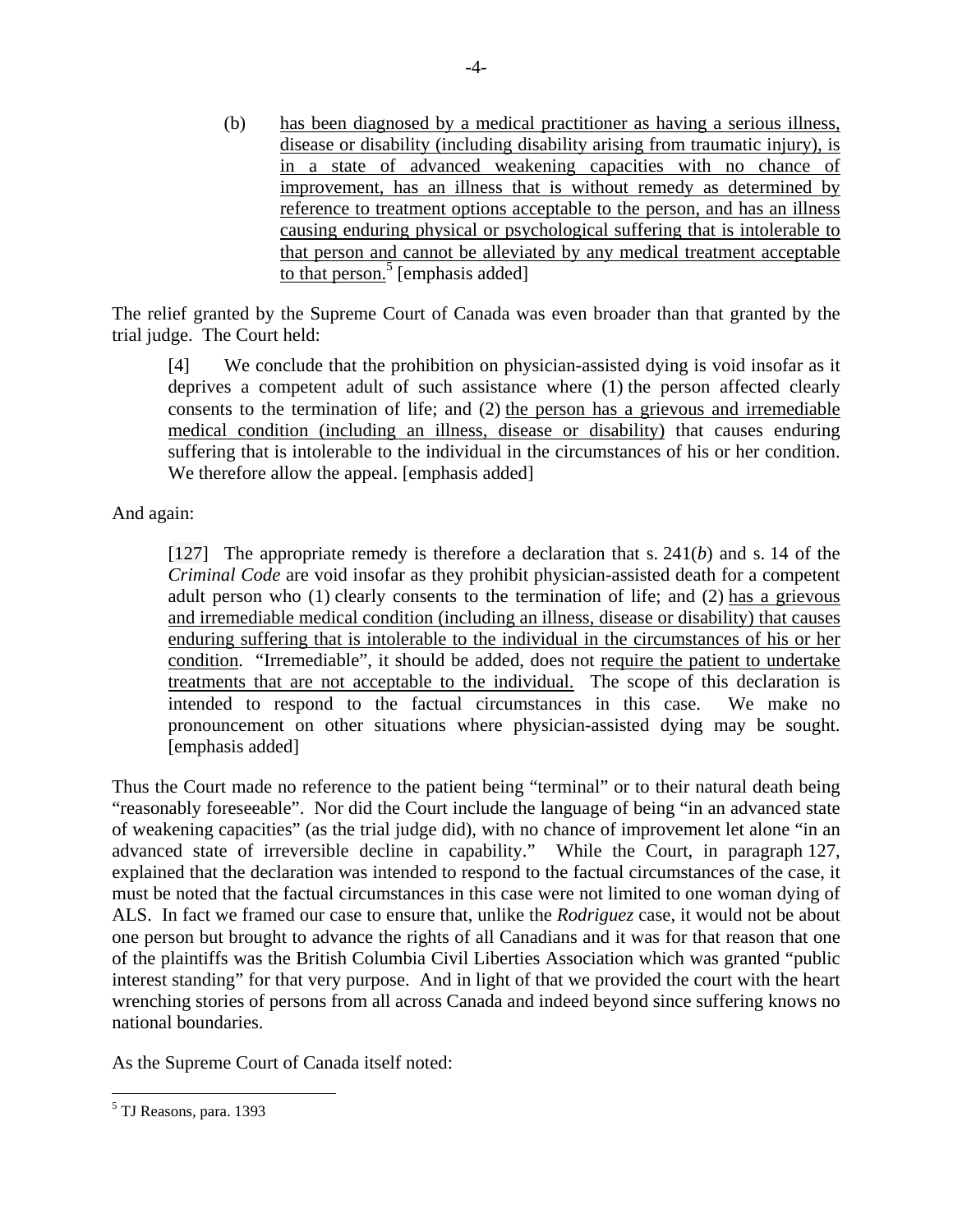(b) has been diagnosed by a medical practitioner as having a serious illness, disease or disability (including disability arising from traumatic injury), is in a state of advanced weakening capacities with no chance of improvement, has an illness that is without remedy as determined by reference to treatment options acceptable to the person, and has an illness causing enduring physical or psychological suffering that is intolerable to that person and cannot be alleviated by any medical treatment acceptable to that person.<sup>5</sup> [emphasis added]

The relief granted by the Supreme Court of Canada was even broader than that granted by the trial judge. The Court held:

[4] We conclude that the prohibition on physician-assisted dying is void insofar as it deprives a competent adult of such assistance where (1) the person affected clearly consents to the termination of life; and (2) the person has a grievous and irremediable medical condition (including an illness, disease or disability) that causes enduring suffering that is intolerable to the individual in the circumstances of his or her condition. We therefore allow the appeal. [emphasis added]

And again:

[127] The appropriate remedy is therefore a declaration that s. 241(*b*) and s. 14 of the *Criminal Code* are void insofar as they prohibit physician-assisted death for a competent adult person who (1) clearly consents to the termination of life; and (2) has a grievous and irremediable medical condition (including an illness, disease or disability) that causes enduring suffering that is intolerable to the individual in the circumstances of his or her condition. "Irremediable", it should be added, does not require the patient to undertake treatments that are not acceptable to the individual. The scope of this declaration is intended to respond to the factual circumstances in this case. We make no pronouncement on other situations where physician-assisted dying may be sought. [emphasis added]

Thus the Court made no reference to the patient being "terminal" or to their natural death being "reasonably foreseeable". Nor did the Court include the language of being "in an advanced state of weakening capacities" (as the trial judge did), with no chance of improvement let alone "in an advanced state of irreversible decline in capability." While the Court, in paragraph 127, explained that the declaration was intended to respond to the factual circumstances of the case, it must be noted that the factual circumstances in this case were not limited to one woman dying of ALS. In fact we framed our case to ensure that, unlike the *Rodriguez* case, it would not be about one person but brought to advance the rights of all Canadians and it was for that reason that one of the plaintiffs was the British Columbia Civil Liberties Association which was granted "public interest standing" for that very purpose. And in light of that we provided the court with the heart wrenching stories of persons from all across Canada and indeed beyond since suffering knows no national boundaries.

As the Supreme Court of Canada itself noted:

<u>.</u>

<sup>&</sup>lt;sup>5</sup> TJ Reasons, para. 1393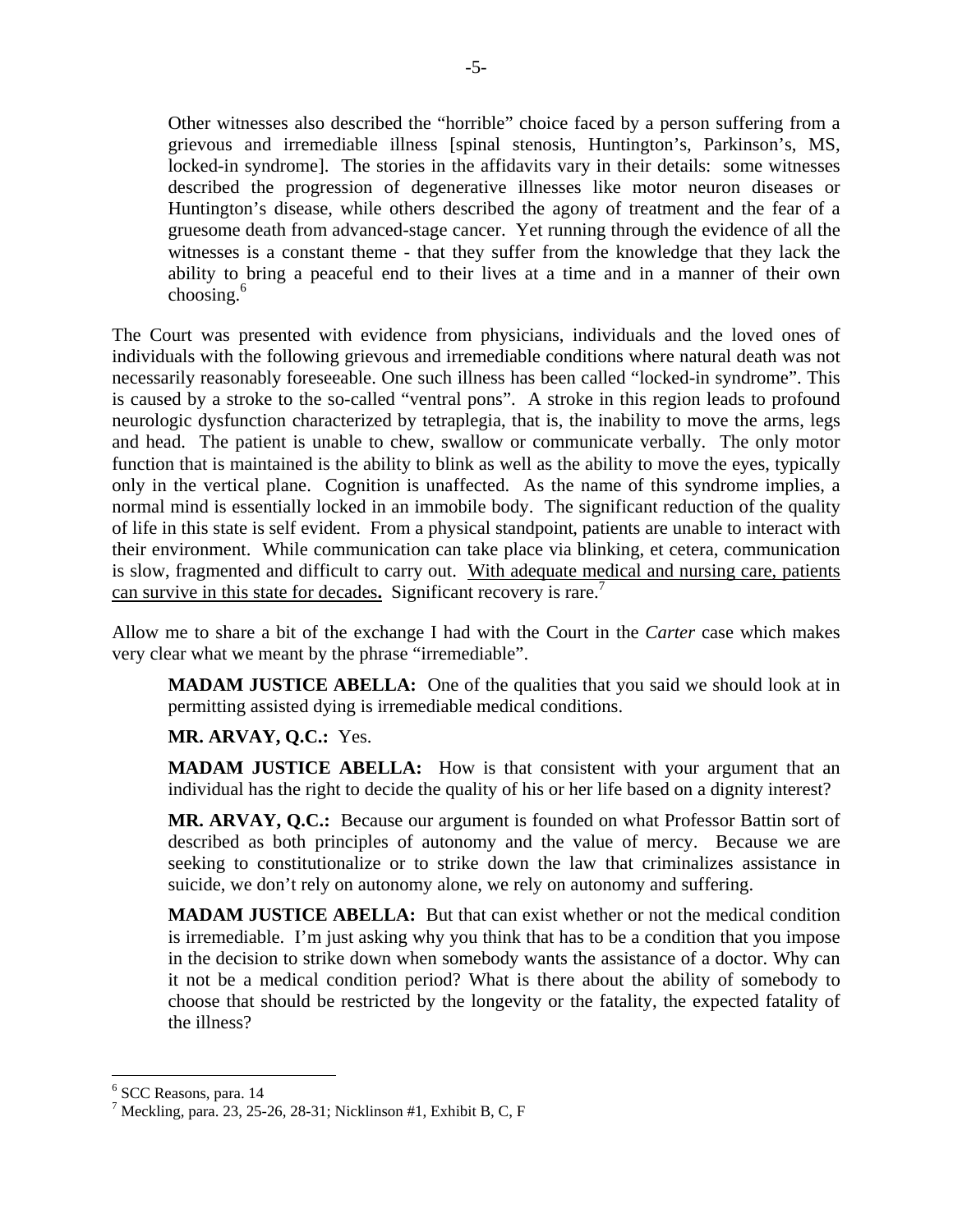Other witnesses also described the "horrible" choice faced by a person suffering from a grievous and irremediable illness [spinal stenosis, Huntington's, Parkinson's, MS, locked-in syndrome]. The stories in the affidavits vary in their details: some witnesses described the progression of degenerative illnesses like motor neuron diseases or Huntington's disease, while others described the agony of treatment and the fear of a gruesome death from advanced-stage cancer. Yet running through the evidence of all the witnesses is a constant theme - that they suffer from the knowledge that they lack the ability to bring a peaceful end to their lives at a time and in a manner of their own choosing. $6$ 

The Court was presented with evidence from physicians, individuals and the loved ones of individuals with the following grievous and irremediable conditions where natural death was not necessarily reasonably foreseeable. One such illness has been called "locked-in syndrome". This is caused by a stroke to the so-called "ventral pons". A stroke in this region leads to profound neurologic dysfunction characterized by tetraplegia, that is, the inability to move the arms, legs and head. The patient is unable to chew, swallow or communicate verbally. The only motor function that is maintained is the ability to blink as well as the ability to move the eyes, typically only in the vertical plane. Cognition is unaffected. As the name of this syndrome implies, a normal mind is essentially locked in an immobile body. The significant reduction of the quality of life in this state is self evident. From a physical standpoint, patients are unable to interact with their environment. While communication can take place via blinking, et cetera, communication is slow, fragmented and difficult to carry out. With adequate medical and nursing care, patients can survive in this state for decades**.** Significant recovery is rare.<sup>7</sup>

Allow me to share a bit of the exchange I had with the Court in the *Carter* case which makes very clear what we meant by the phrase "irremediable".

**MADAM JUSTICE ABELLA:** One of the qualities that you said we should look at in permitting assisted dying is irremediable medical conditions.

## **MR. ARVAY, Q.C.:** Yes.

**MADAM JUSTICE ABELLA:** How is that consistent with your argument that an individual has the right to decide the quality of his or her life based on a dignity interest?

**MR. ARVAY, Q.C.:** Because our argument is founded on what Professor Battin sort of described as both principles of autonomy and the value of mercy. Because we are seeking to constitutionalize or to strike down the law that criminalizes assistance in suicide, we don't rely on autonomy alone, we rely on autonomy and suffering.

**MADAM JUSTICE ABELLA:** But that can exist whether or not the medical condition is irremediable. I'm just asking why you think that has to be a condition that you impose in the decision to strike down when somebody wants the assistance of a doctor. Why can it not be a medical condition period? What is there about the ability of somebody to choose that should be restricted by the longevity or the fatality, the expected fatality of the illness?

<sup>6</sup> SCC Reasons, para. 14

<sup>&</sup>lt;sup>7</sup> Meckling, para. 23, 25-26, 28-31; Nicklinson #1, Exhibit B, C, F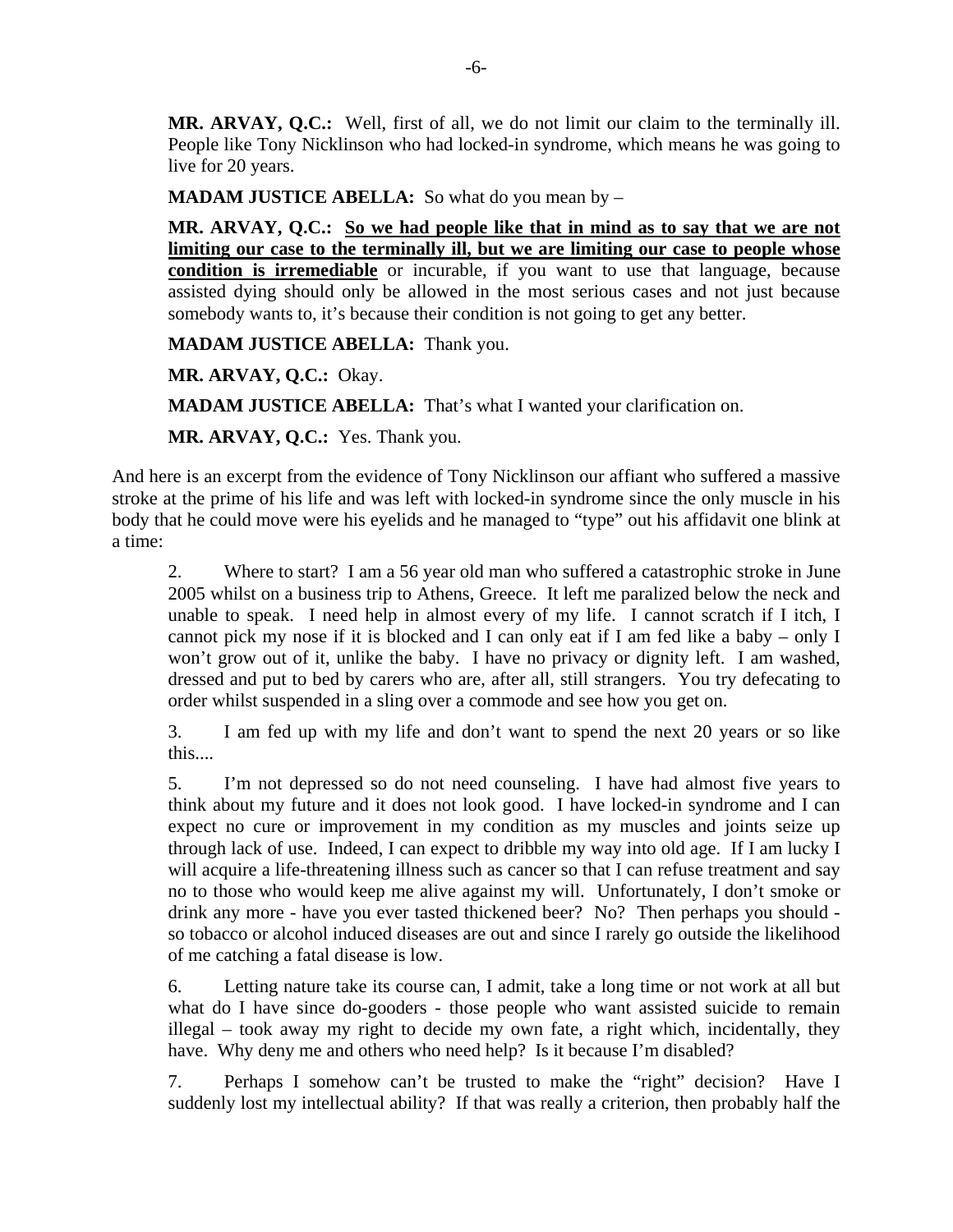**MR. ARVAY, Q.C.:** Well, first of all, we do not limit our claim to the terminally ill. People like Tony Nicklinson who had locked-in syndrome, which means he was going to live for 20 years.

**MADAM JUSTICE ABELLA:** So what do you mean by –

**MR. ARVAY, Q.C.: So we had people like that in mind as to say that we are not limiting our case to the terminally ill, but we are limiting our case to people whose condition is irremediable** or incurable, if you want to use that language, because assisted dying should only be allowed in the most serious cases and not just because somebody wants to, it's because their condition is not going to get any better.

**MADAM JUSTICE ABELLA:** Thank you.

**MR. ARVAY, Q.C.:** Okay.

**MADAM JUSTICE ABELLA:** That's what I wanted your clarification on.

**MR. ARVAY, Q.C.:** Yes. Thank you.

And here is an excerpt from the evidence of Tony Nicklinson our affiant who suffered a massive stroke at the prime of his life and was left with locked-in syndrome since the only muscle in his body that he could move were his eyelids and he managed to "type" out his affidavit one blink at a time:

2. Where to start? I am a 56 year old man who suffered a catastrophic stroke in June 2005 whilst on a business trip to Athens, Greece. It left me paralized below the neck and unable to speak. I need help in almost every of my life. I cannot scratch if I itch, I cannot pick my nose if it is blocked and I can only eat if I am fed like a baby – only I won't grow out of it, unlike the baby. I have no privacy or dignity left. I am washed, dressed and put to bed by carers who are, after all, still strangers. You try defecating to order whilst suspended in a sling over a commode and see how you get on.

3. I am fed up with my life and don't want to spend the next 20 years or so like this....

5. I'm not depressed so do not need counseling. I have had almost five years to think about my future and it does not look good. I have locked-in syndrome and I can expect no cure or improvement in my condition as my muscles and joints seize up through lack of use. Indeed, I can expect to dribble my way into old age. If I am lucky I will acquire a life-threatening illness such as cancer so that I can refuse treatment and say no to those who would keep me alive against my will. Unfortunately, I don't smoke or drink any more - have you ever tasted thickened beer? No? Then perhaps you should so tobacco or alcohol induced diseases are out and since I rarely go outside the likelihood of me catching a fatal disease is low.

6. Letting nature take its course can, I admit, take a long time or not work at all but what do I have since do-gooders - those people who want assisted suicide to remain illegal – took away my right to decide my own fate, a right which, incidentally, they have. Why deny me and others who need help? Is it because I'm disabled?

7. Perhaps I somehow can't be trusted to make the "right" decision? Have I suddenly lost my intellectual ability? If that was really a criterion, then probably half the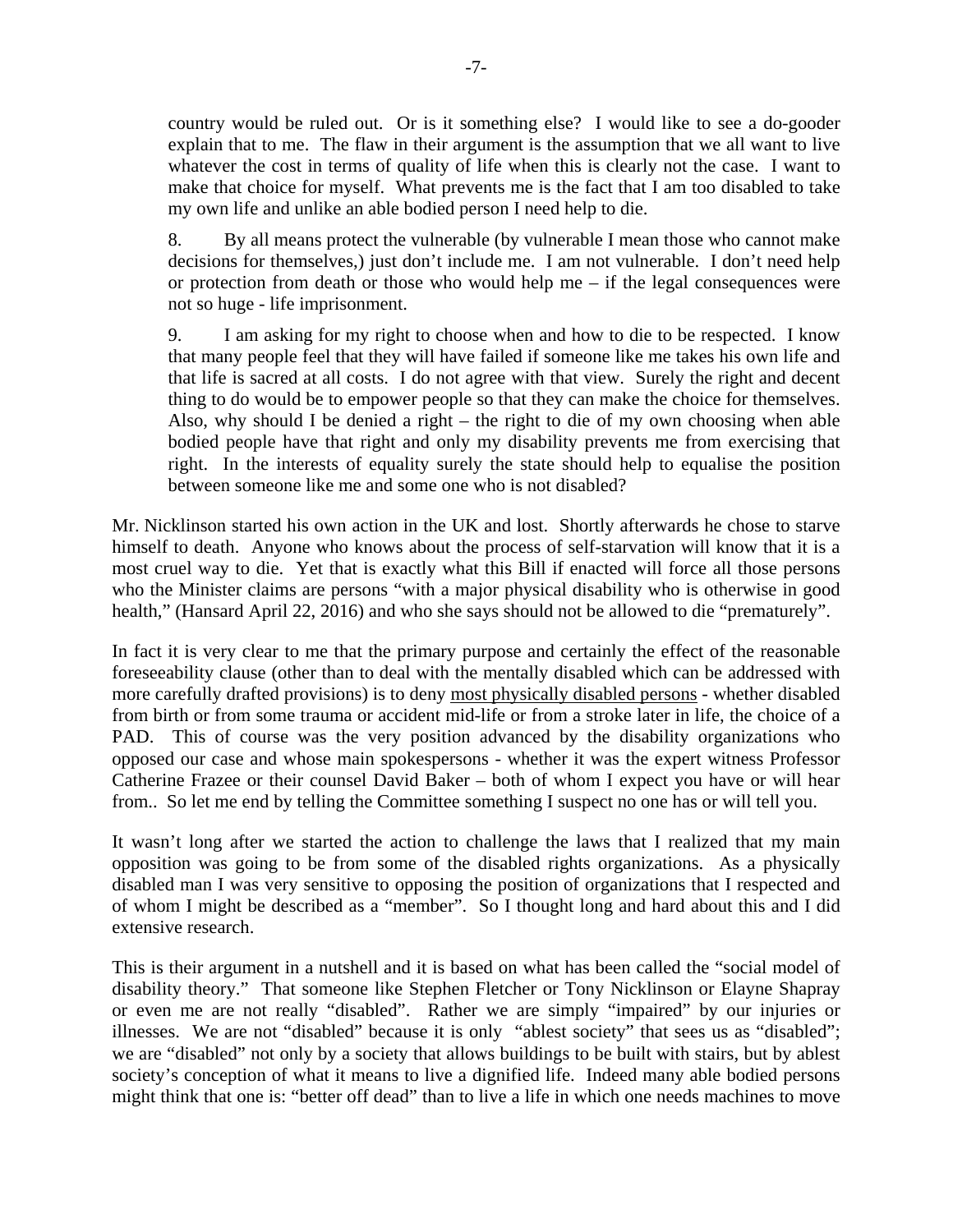country would be ruled out. Or is it something else? I would like to see a do-gooder explain that to me. The flaw in their argument is the assumption that we all want to live whatever the cost in terms of quality of life when this is clearly not the case. I want to make that choice for myself. What prevents me is the fact that I am too disabled to take my own life and unlike an able bodied person I need help to die.

8. By all means protect the vulnerable (by vulnerable I mean those who cannot make decisions for themselves,) just don't include me. I am not vulnerable. I don't need help or protection from death or those who would help me – if the legal consequences were not so huge - life imprisonment.

9. I am asking for my right to choose when and how to die to be respected. I know that many people feel that they will have failed if someone like me takes his own life and that life is sacred at all costs. I do not agree with that view. Surely the right and decent thing to do would be to empower people so that they can make the choice for themselves. Also, why should I be denied a right – the right to die of my own choosing when able bodied people have that right and only my disability prevents me from exercising that right. In the interests of equality surely the state should help to equalise the position between someone like me and some one who is not disabled?

Mr. Nicklinson started his own action in the UK and lost. Shortly afterwards he chose to starve himself to death. Anyone who knows about the process of self-starvation will know that it is a most cruel way to die. Yet that is exactly what this Bill if enacted will force all those persons who the Minister claims are persons "with a major physical disability who is otherwise in good health," (Hansard April 22, 2016) and who she says should not be allowed to die "prematurely".

In fact it is very clear to me that the primary purpose and certainly the effect of the reasonable foreseeability clause (other than to deal with the mentally disabled which can be addressed with more carefully drafted provisions) is to deny most physically disabled persons - whether disabled from birth or from some trauma or accident mid-life or from a stroke later in life, the choice of a PAD. This of course was the very position advanced by the disability organizations who opposed our case and whose main spokespersons - whether it was the expert witness Professor Catherine Frazee or their counsel David Baker – both of whom I expect you have or will hear from.. So let me end by telling the Committee something I suspect no one has or will tell you.

It wasn't long after we started the action to challenge the laws that I realized that my main opposition was going to be from some of the disabled rights organizations. As a physically disabled man I was very sensitive to opposing the position of organizations that I respected and of whom I might be described as a "member". So I thought long and hard about this and I did extensive research.

This is their argument in a nutshell and it is based on what has been called the "social model of disability theory." That someone like Stephen Fletcher or Tony Nicklinson or Elayne Shapray or even me are not really "disabled". Rather we are simply "impaired" by our injuries or illnesses. We are not "disabled" because it is only "ablest society" that sees us as "disabled"; we are "disabled" not only by a society that allows buildings to be built with stairs, but by ablest society's conception of what it means to live a dignified life. Indeed many able bodied persons might think that one is: "better off dead" than to live a life in which one needs machines to move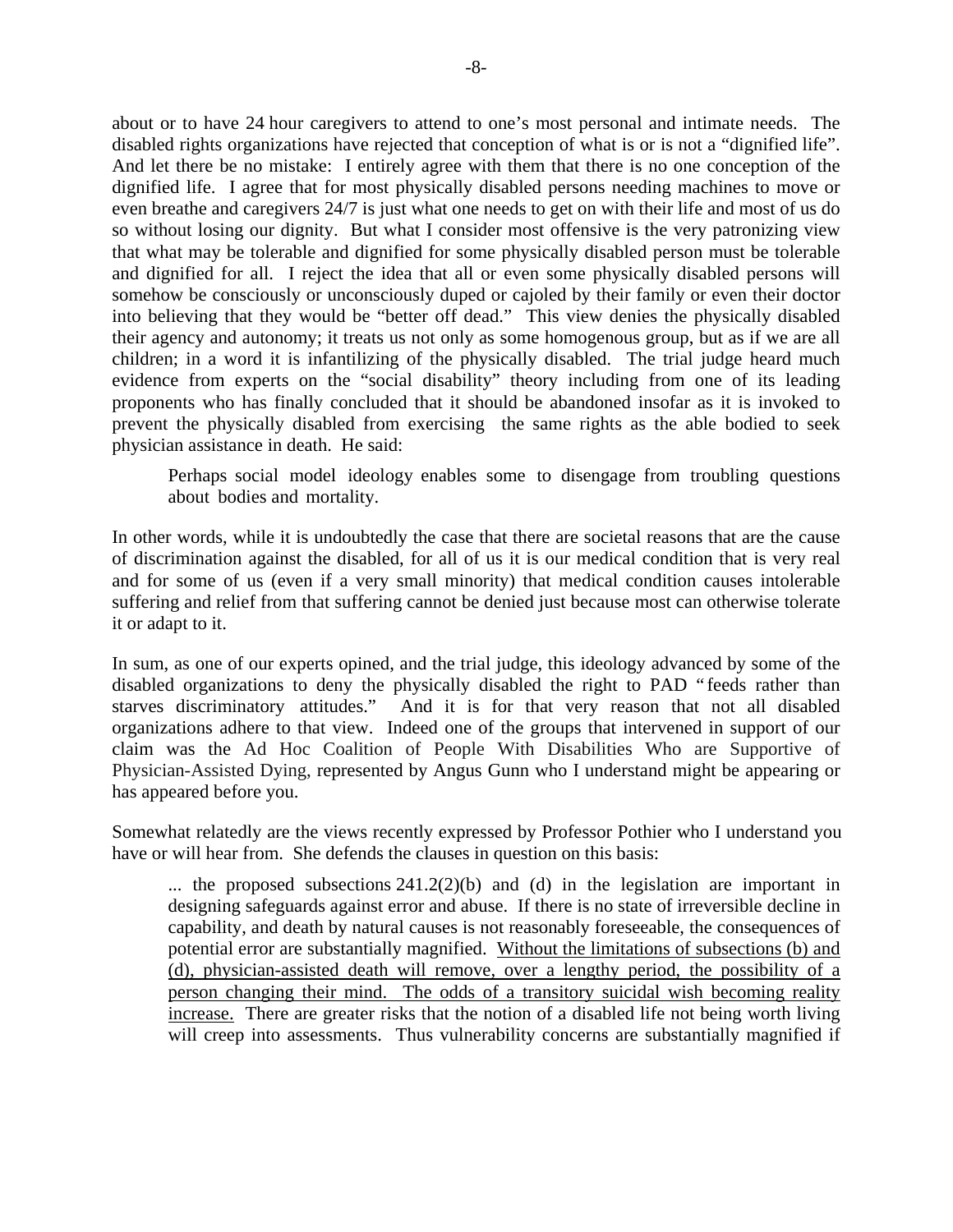about or to have 24 hour caregivers to attend to one's most personal and intimate needs. The disabled rights organizations have rejected that conception of what is or is not a "dignified life". And let there be no mistake: I entirely agree with them that there is no one conception of the dignified life. I agree that for most physically disabled persons needing machines to move or even breathe and caregivers 24/7 is just what one needs to get on with their life and most of us do so without losing our dignity. But what I consider most offensive is the very patronizing view that what may be tolerable and dignified for some physically disabled person must be tolerable and dignified for all. I reject the idea that all or even some physically disabled persons will somehow be consciously or unconsciously duped or cajoled by their family or even their doctor into believing that they would be "better off dead." This view denies the physically disabled their agency and autonomy; it treats us not only as some homogenous group, but as if we are all children; in a word it is infantilizing of the physically disabled. The trial judge heard much evidence from experts on the "social disability" theory including from one of its leading proponents who has finally concluded that it should be abandoned insofar as it is invoked to prevent the physically disabled from exercising the same rights as the able bodied to seek physician assistance in death. He said:

Perhaps social model ideology enables some to disengage from troubling questions about bodies and mortality.

In other words, while it is undoubtedly the case that there are societal reasons that are the cause of discrimination against the disabled, for all of us it is our medical condition that is very real and for some of us (even if a very small minority) that medical condition causes intolerable suffering and relief from that suffering cannot be denied just because most can otherwise tolerate it or adapt to it.

In sum, as one of our experts opined, and the trial judge, this ideology advanced by some of the disabled organizations to deny the physically disabled the right to PAD " feeds rather than starves discriminatory attitudes." And it is for that very reason that not all disabled organizations adhere to that view. Indeed one of the groups that intervened in support of our claim was the Ad Hoc Coalition of People With Disabilities Who are Supportive of Physician-Assisted Dying, represented by Angus Gunn who I understand might be appearing or has appeared before you.

Somewhat relatedly are the views recently expressed by Professor Pothier who I understand you have or will hear from. She defends the clauses in question on this basis:

... the proposed subsections  $241.2(2)(b)$  and (d) in the legislation are important in designing safeguards against error and abuse. If there is no state of irreversible decline in capability, and death by natural causes is not reasonably foreseeable, the consequences of potential error are substantially magnified. Without the limitations of subsections (b) and (d), physician-assisted death will remove, over a lengthy period, the possibility of a person changing their mind. The odds of a transitory suicidal wish becoming reality increase. There are greater risks that the notion of a disabled life not being worth living will creep into assessments. Thus vulnerability concerns are substantially magnified if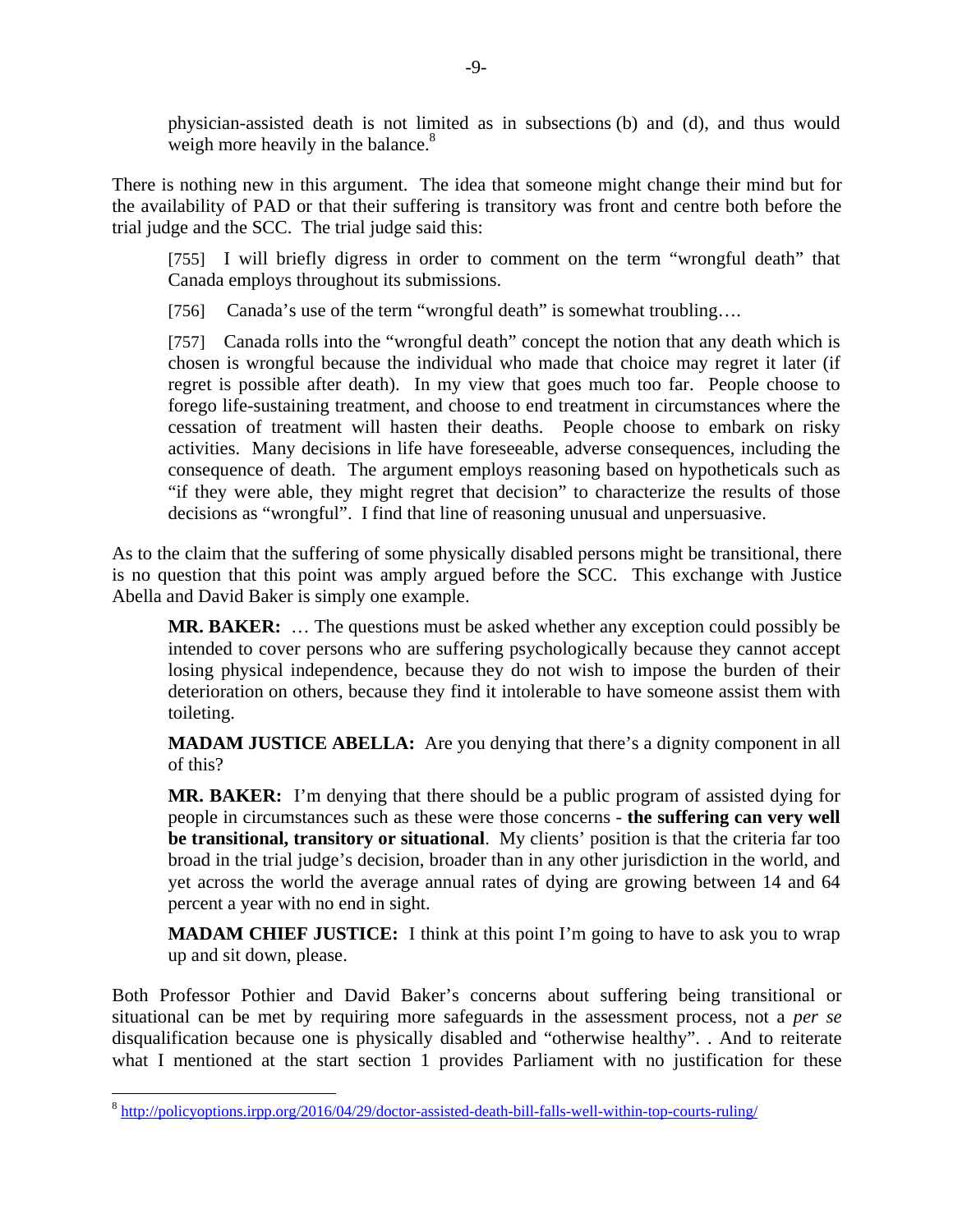physician-assisted death is not limited as in subsections (b) and (d), and thus would weigh more heavily in the balance. $8<sup>8</sup>$ 

There is nothing new in this argument. The idea that someone might change their mind but for the availability of PAD or that their suffering is transitory was front and centre both before the trial judge and the SCC. The trial judge said this:

[755] I will briefly digress in order to comment on the term "wrongful death" that Canada employs throughout its submissions.

[756] Canada's use of the term "wrongful death" is somewhat troubling....

[757] Canada rolls into the "wrongful death" concept the notion that any death which is chosen is wrongful because the individual who made that choice may regret it later (if regret is possible after death). In my view that goes much too far. People choose to forego life-sustaining treatment, and choose to end treatment in circumstances where the cessation of treatment will hasten their deaths. People choose to embark on risky activities. Many decisions in life have foreseeable, adverse consequences, including the consequence of death. The argument employs reasoning based on hypotheticals such as "if they were able, they might regret that decision" to characterize the results of those decisions as "wrongful". I find that line of reasoning unusual and unpersuasive.

As to the claim that the suffering of some physically disabled persons might be transitional, there is no question that this point was amply argued before the SCC. This exchange with Justice Abella and David Baker is simply one example.

**MR. BAKER:** … The questions must be asked whether any exception could possibly be intended to cover persons who are suffering psychologically because they cannot accept losing physical independence, because they do not wish to impose the burden of their deterioration on others, because they find it intolerable to have someone assist them with toileting.

**MADAM JUSTICE ABELLA:** Are you denying that there's a dignity component in all of this?

**MR. BAKER:** I'm denying that there should be a public program of assisted dying for people in circumstances such as these were those concerns - **the suffering can very well be transitional, transitory or situational**. My clients' position is that the criteria far too broad in the trial judge's decision, broader than in any other jurisdiction in the world, and yet across the world the average annual rates of dying are growing between 14 and 64 percent a year with no end in sight.

**MADAM CHIEF JUSTICE:** I think at this point I'm going to have to ask you to wrap up and sit down, please.

Both Professor Pothier and David Baker's concerns about suffering being transitional or situational can be met by requiring more safeguards in the assessment process, not a *per se* disqualification because one is physically disabled and "otherwise healthy". . And to reiterate what I mentioned at the start section 1 provides Parliament with no justification for these

<sup>8</sup> http://policyoptions.irpp.org/2016/04/29/doctor-assisted-death-bill-falls-well-within-top-courts-ruling/